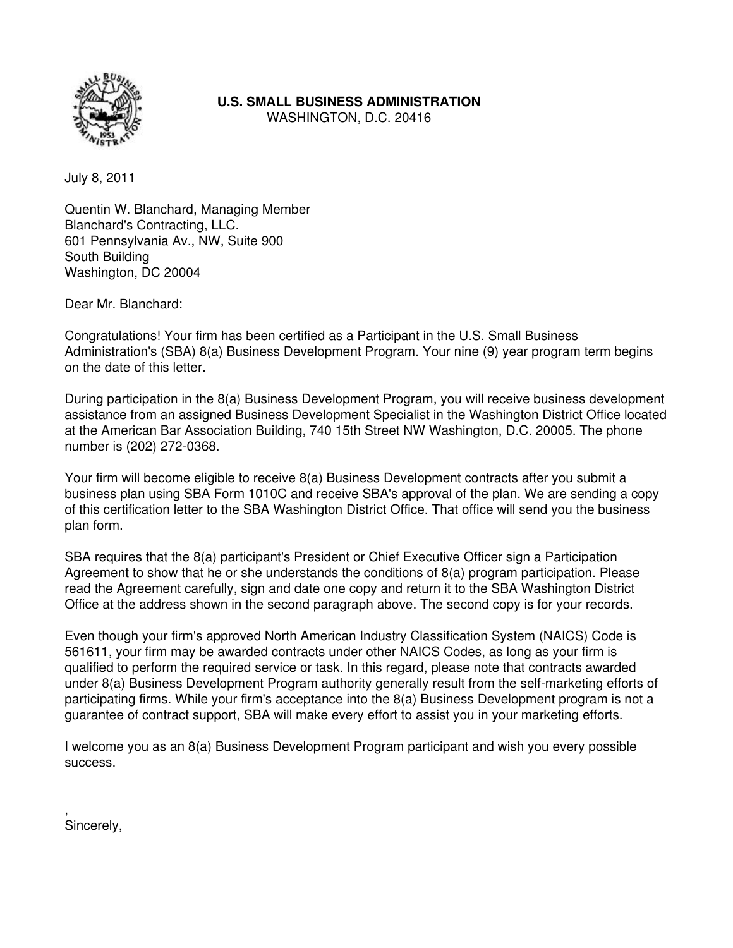

**U.S. SMALL BUSINESS ADMINISTRATION**

WASHINGTON, D.C. 20416

July 8, 2011

Quentin W. Blanchard, Managing Member Blanchard's Contracting, LLC. 601 Pennsylvania Av., NW, Suite 900 South Building Washington, DC 20004

Dear Mr. Blanchard:

Congratulations! Your firm has been certified as a Participant in the U.S. Small Business Administration's (SBA) 8(a) Business Development Program. Your nine (9) year program term begins on the date of this letter.

During participation in the 8(a) Business Development Program, you will receive business development assistance from an assigned Business Development Specialist in the Washington District Office located at the American Bar Association Building, 740 15th Street NW Washington, D.C. 20005. The phone number is (202) 272-0368.

Your firm will become eligible to receive 8(a) Business Development contracts after you submit a business plan using SBA Form 1010C and receive SBA's approval of the plan. We are sending a copy of this certification letter to the SBA Washington District Office. That office will send you the business plan form.

SBA requires that the 8(a) participant's President or Chief Executive Officer sign a Participation Agreement to show that he or she understands the conditions of 8(a) program participation. Please read the Agreement carefully, sign and date one copy and return it to the SBA Washington District Office at the address shown in the second paragraph above. The second copy is for your records.

Even though your firm's approved North American Industry Classification System (NAICS) Code is 561611, your firm may be awarded contracts under other NAICS Codes, as long as your firm is qualified to perform the required service or task. In this regard, please note that contracts awarded under 8(a) Business Development Program authority generally result from the self-marketing efforts of participating firms. While your firm's acceptance into the 8(a) Business Development program is not a guarantee of contract support, SBA will make every effort to assist you in your marketing efforts.

I welcome you as an 8(a) Business Development Program participant and wish you every possible success.

, Sincerely,